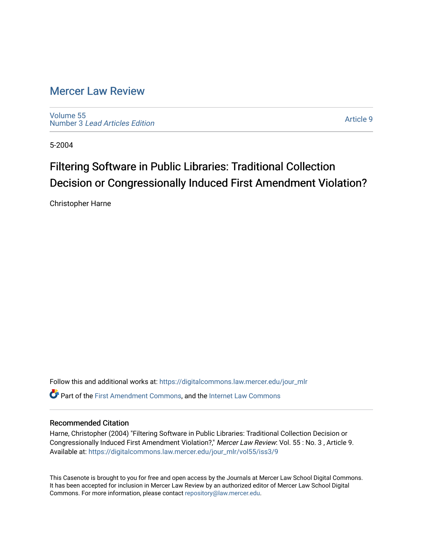### [Mercer Law Review](https://digitalcommons.law.mercer.edu/jour_mlr)

[Volume 55](https://digitalcommons.law.mercer.edu/jour_mlr/vol55) Number 3 [Lead Articles Edition](https://digitalcommons.law.mercer.edu/jour_mlr/vol55/iss3)

[Article 9](https://digitalcommons.law.mercer.edu/jour_mlr/vol55/iss3/9) 

5-2004

# Filtering Software in Public Libraries: Traditional Collection Decision or Congressionally Induced First Amendment Violation?

Christopher Harne

Follow this and additional works at: [https://digitalcommons.law.mercer.edu/jour\\_mlr](https://digitalcommons.law.mercer.edu/jour_mlr?utm_source=digitalcommons.law.mercer.edu%2Fjour_mlr%2Fvol55%2Fiss3%2F9&utm_medium=PDF&utm_campaign=PDFCoverPages) Part of the [First Amendment Commons,](http://network.bepress.com/hgg/discipline/1115?utm_source=digitalcommons.law.mercer.edu%2Fjour_mlr%2Fvol55%2Fiss3%2F9&utm_medium=PDF&utm_campaign=PDFCoverPages) and the [Internet Law Commons](http://network.bepress.com/hgg/discipline/892?utm_source=digitalcommons.law.mercer.edu%2Fjour_mlr%2Fvol55%2Fiss3%2F9&utm_medium=PDF&utm_campaign=PDFCoverPages)

#### Recommended Citation

Harne, Christopher (2004) "Filtering Software in Public Libraries: Traditional Collection Decision or Congressionally Induced First Amendment Violation?," Mercer Law Review: Vol. 55: No. 3, Article 9. Available at: [https://digitalcommons.law.mercer.edu/jour\\_mlr/vol55/iss3/9](https://digitalcommons.law.mercer.edu/jour_mlr/vol55/iss3/9?utm_source=digitalcommons.law.mercer.edu%2Fjour_mlr%2Fvol55%2Fiss3%2F9&utm_medium=PDF&utm_campaign=PDFCoverPages)

This Casenote is brought to you for free and open access by the Journals at Mercer Law School Digital Commons. It has been accepted for inclusion in Mercer Law Review by an authorized editor of Mercer Law School Digital Commons. For more information, please contact [repository@law.mercer.edu.](mailto:repository@law.mercer.edu)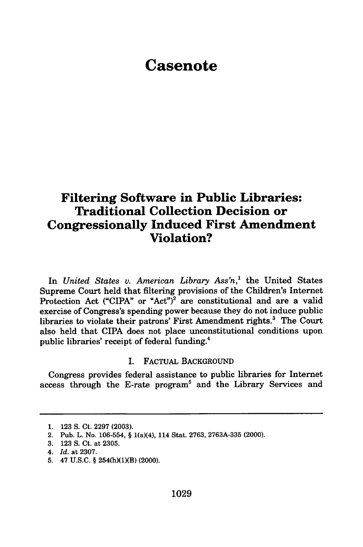## **Casenote**

### **Filtering Software in Public Libraries: Traditional Collection Decision or Congressionally Induced First Amendment Violation?**

In *United States v. American Library Ass'n,'* the United States Supreme Court held that filtering provisions of the Children's Internet Protection Act ("CIPA" or "Act")<sup>2</sup> are constitutional and are a valid exercise of Congress's spending power because they do not induce public libraries to violate their patrons' First Amendment rights.<sup>3</sup> The Court also held that CIPA does not place unconstitutional conditions upon public libraries' receipt of federal funding.4

#### I. FACTUAL BACKGROUND

Congress provides federal assistance to public libraries for Internet access through the E-rate program<sup>5</sup> and the Library Services and

**<sup>1. 123</sup> S.** Ct. **2297 (2003).**

<sup>2.</sup> Pub. L. No. **106-554,** § 1(a)(4), 114 Stat. **2763, 2763A-335** (2000).

**<sup>3. 123</sup> S.** Ct. at **2305.**

*<sup>4.</sup> Id.* at **2307.**

**<sup>5.</sup>** 47 **U.S.C.** § 254(h)(1)(B) (2000).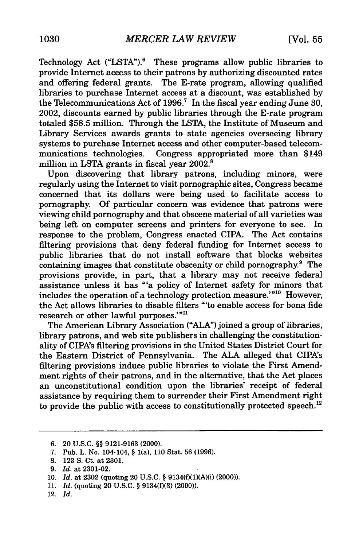Technology Act ("LSTA").<sup>6</sup> These programs allow public libraries to provide Internet access to their patrons by authorizing discounted rates and offering federal grants. The E-rate program, allowing qualified libraries to purchase Internet access at a discount, was established by the Telecommunications Act of 1996.<sup>7</sup> In the fiscal year ending June 30, 2002, discounts earned by public libraries through the E-rate program totaled \$58.5 million. Through the LSTA, the Institute of Museum and Library Services awards grants to state agencies overseeing library systems to purchase Internet access and other computer-based telecommunications technologies. Congress appropriated more than \$149 million in LSTA grants in fiscal year 2002.<sup>8</sup>

Upon discovering that library patrons, including minors, were regularly using the Internet to visit pornographic sites, Congress became concerned that its dollars were being used to facilitate access to pornography. Of particular concern was evidence that patrons were viewing child pornography and that obscene material of all varieties was being left on computer screens and printers for everyone to see. In response to the problem, Congress enacted CIPA. The Act contains filtering provisions that deny federal funding for Internet access to public libraries that do not install software that blocks websites containing images that constitute obscenity or child pornography.<sup>9</sup> The provisions provide, in part, that a library may not receive federal assistance unless it has "'a policy of Internet safety for minors that includes the operation of a technology protection measure.'"<sup>10</sup> However, the Act allows libraries to disable filters "'to enable access for bona fide research or other lawful purposes.'"<sup>11</sup>

The American Library Association **("ALA")** joined a group of libraries, library patrons, and web site publishers in challenging the constitutionality of CIPA's filtering provisions in the United States District Court for the Eastern District of Pennsylvania. The ALA alleged that CIPA's filtering provisions induce public libraries to violate the First Amendment rights of their patrons, and in the alternative, that the Act places an unconstitutional condition upon the libraries' receipt of federal assistance by requiring them to surrender their First Amendment right to provide the public with access to constitutionally protected speech.<sup>12</sup>

<sup>6. 20</sup> U.S.C. §§ 9121-9163 (2000).

<sup>7.</sup> Pub. L. No. 104-104, § 1(a), 110 Stat. 56 (1996).

<sup>8. 123</sup> S. Ct. at 2301.

<sup>9.</sup> *Id.* at 2301-02.

<sup>10.</sup> *Id.* at 2302 (quoting 20 U.S.C. § 9134(f)(1)(A)(i) (2000)).

<sup>11.</sup> *Id.* (quoting 20 U.S.C. § 9134(f)(3) (2000)).

<sup>12.</sup> *Id.*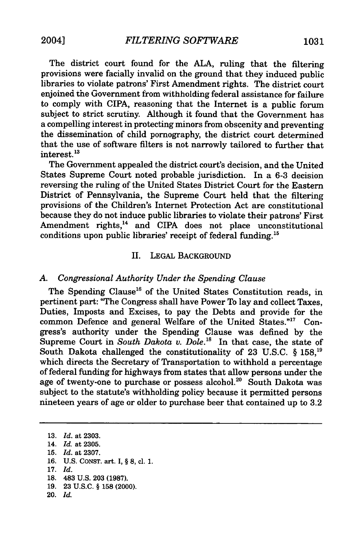The district court found for the ALA, ruling that the filtering provisions were facially invalid on the ground that they induced public libraries to violate patrons' First Amendment rights. The district court enjoined the Government from withholding federal assistance for failure to comply with CIPA, reasoning that the Internet is a public forum subject to strict scrutiny. Although it found that the Government has a compelling interest in protecting minors from obscenity and preventing the dissemination of child pornography, the district court determined that the use of software filters is not narrowly tailored to further that interest. **<sup>13</sup>**

The Government appealed the district court's decision, and the United States Supreme Court noted probable jurisdiction. In a 6-3 decision reversing the ruling of the United States District Court for the Eastern District of Pennsylvania, the Supreme Court held that the filtering provisions of the Children's Internet Protection Act are constitutional because they do not induce public libraries to violate their patrons' First Amendment rights,<sup>14</sup> and CIPA does not place unconstitutional conditions upon public libraries' receipt of federal funding.<sup>15</sup>

#### II. **LEGAL** BACKGROUND

#### *A. Congressional Authority Under the Spending Clause*

The Spending Clause<sup>16</sup> of the United States Constitution reads, in pertinent part: "The Congress shall have Power To lay and collect Taxes, Duties, Imposts and Excises, to pay the Debts and provide for the common Defence and general Welfare of the United States."<sup>17</sup> Congress's authority under the Spending Clause was defined by the Supreme Court in *South Dakota v. Dole*.<sup>18</sup> In that case, the state of South Dakota challenged the constitutionality of 23 U.S.C. § 158,<sup>19</sup> which directs the Secretary of Transportation to withhold a percentage of federal funding for highways from states that allow persons under the age of twenty-one to purchase or possess alcohol.<sup>20</sup> South Dakota was subject to the statute's withholding policy because it permitted persons nineteen years of age or older to purchase beer that contained up to 3.2

- 16. U.S. CONST. art. I, § 8, cl. 1.
- 17. *Id.*

- 19. 23 U.S.C. § 158 (2000).
- 20. *Id.*

<sup>13.</sup> *Id.* at 2303.

<sup>14.</sup> *Id.* at 2305.

<sup>15.</sup> *Id.* at 2307.

<sup>18. 483</sup> U.S. 203 (1987).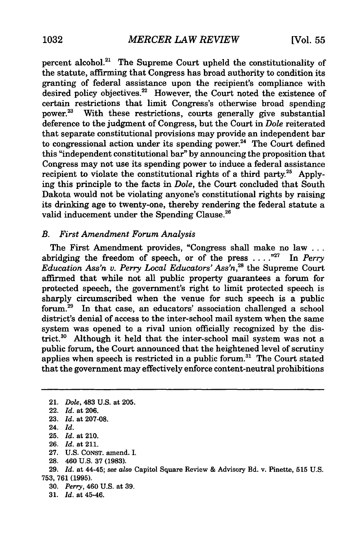percent alcohol.<sup>21</sup> The Supreme Court upheld the constitutionality of the statute, affirming that Congress has broad authority to condition its granting of federal assistance upon the recipient's compliance with desired policy objectives.<sup>22</sup> However, the Court noted the existence of certain restrictions that limit Congress's otherwise broad spending power.<sup>23</sup> With these restrictions, courts generally give substantial deference to the judgment of Congress, but the Court in *Dole* reiterated that separate constitutional provisions may provide an independent bar to congressional action under its spending power.<sup>24</sup> The Court defined this "independent constitutional bar" by announcing the proposition that Congress may not use its spending power to induce a federal assistance recipient to violate the constitutional rights of a third party.<sup>25</sup> Applying this principle to the facts in *Dole,* the Court concluded that South Dakota would not be violating anyone's constitutional rights by raising its drinking age to twenty-one, thereby rendering the federal statute a valid inducement under the Spending Clause.<sup>26</sup>

#### *B. First Amendment Forum Analysis*

The First Amendment provides, "Congress shall make no law **...** abridging the freedom of speech, or of the press .... **"27** In *Perry Education Ass'n v. Perry Local Educators' Ass'n,2 <sup>8</sup>*the Supreme Court affirmed that while not all public property guarantees a forum for protected speech, the government's right to limit protected speech is sharply circumscribed when the venue for such speech is a public forum.<sup>29</sup> In that case, an educators' association challenged a school district's denial of access to the inter-school mail system when the same system was opened to a rival union officially recognized by the district.<sup>30</sup> Although it held that the inter-school mail system was not a public forum, the Court announced that the heightened level of scrutiny applies when speech is restricted in a public forum.<sup>31</sup> The Court stated that the government may effectively enforce content-neutral prohibitions

- **27. U.S. CONST.** amend. **I.**
- **28.** 460 **U.S. 37 (1983).**

**29.** *Id.* at 44-45; *see also* Capitol Square Review & Advisory **Bd.** v. Pinette, **515 U.S. 753, 761 (1995).**

- **30.** *Perry,* 460 **U.S.** at **39.**
- **31.** *Id.* at 45-46.

<sup>21.</sup> *Dole,* 483 U.S. at 205.

<sup>22.</sup> *Id.* at 206.

<sup>23.</sup> *Id.* at 207-08.

<sup>24.</sup> *Id.*

**<sup>25.</sup>** *Id.* at 210.

**<sup>26.</sup>** *Id.* at 211.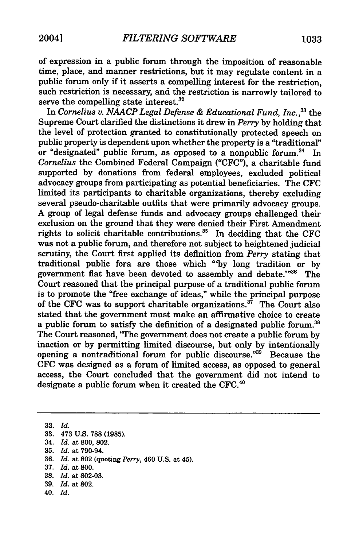of expression in a public forum through the imposition of reasonable time, place, and manner restrictions, but it may regulate content in a public forum only if it asserts a compelling interest for the restriction, such restriction is necessary, and the restriction is narrowly tailored to serve the compelling state interest.<sup>32</sup>

In Cornelius v. NAACP Legal Defense & Educational Fund, Inc.,<sup>33</sup> the Supreme Court clarified the distinctions it drew in *Perry* by holding that the level of protection granted to constitutionally protected speech on public property is dependent upon whether the property is a "traditional" or "designated" public forum, as opposed to a nonpublic forum.<sup>34</sup> In *Cornelius* the Combined Federal Campaign ("CFC"), a charitable fund supported by donations from federal employees, excluded political advocacy groups from participating as potential beneficiaries. The CFC limited its participants to charitable organizations, thereby excluding several pseudo-charitable outfits that were primarily advocacy groups. A group of legal defense funds and advocacy groups challenged their exclusion on the ground that they were denied their First Amendment rights to solicit charitable contributions.<sup>35</sup> In deciding that the CFC was not a public forum, and therefore not subject to heightened judicial scrutiny, the Court first applied its definition from *Perry* stating that traditional public fora are those which **"by** long tradition or by government fiat have been devoted to assembly and debate.'"<sup>36</sup> The Court reasoned that the principal purpose of a traditional public forum is to promote the "free exchange of ideas," while the principal purpose of the CFC was to support charitable organizations.<sup>37</sup> The Court also stated that the government must make an affirmative choice to create a public forum to satisfy the definition of a designated public forum.<sup>31</sup> The Court reasoned, "The government does not create a public forum by inaction or by permitting limited discourse, but only by intentionally opening a nontraditional forum for public discourse."<sup>39</sup> Because the CFC was designed as a forum of limited access, as opposed to general access, the Court concluded that the government did not intend to designate a public forum when it created the CFC.<sup>40</sup>

40. *Id.*

<sup>32.</sup> *Id.*

<sup>33. 473</sup> U.S. 788 (1985).

<sup>34.</sup> *Id.* at 800, 802.

<sup>35.</sup> *Id.* at 790-94.

<sup>36.</sup> *Id.* at 802 (quoting *Perry,* 460 U.S. at 45).

<sup>37.</sup> *Id.* at 800.

<sup>38.</sup> *Id.* at 802-03.

<sup>39.</sup> *Id.* at 802.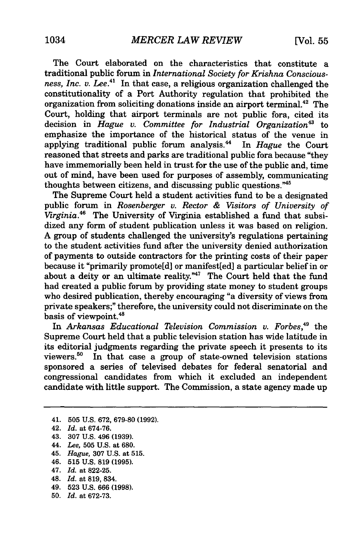The Court elaborated on the characteristics that constitute a traditional public forum in *International Society for Krishna Conscious*ness, Inc. v. Lee.<sup>41</sup> In that case, a religious organization challenged the constitutionality of a Port Authority regulation that prohibited the organization from soliciting donations inside an airport terminal.<sup>42</sup> The Court, holding that airport terminals are not public fora, cited its decision in *Hague v.* Committee for Industrial Organization<sup>43</sup> to emphasize the importance of the historical status of the venue in applying traditional public forum analysis." In *Hague* the Court reasoned that streets and parks are traditional public fora because "they have immemorially been held in trust for the use of the public and, time out of mind, have been used for purposes of assembly, communicating thoughts between citizens, and discussing public questions."45

The Supreme Court held a student activities fund to be a designated public forum in *Rosenberger v. Rector & Visitors of University of Virginia.46* The University of Virginia established a fund that subsidized any form of student publication unless it was based on religion. A group of students challenged the university's regulations pertaining to the student activities fund after the university denied authorization of payments to outside contractors for the printing costs of their paper because it "primarily promote[d] or manifest[ed] a particular belief in or about a deity or an ultimate reality."<sup>47</sup> The Court held that the fund had created a public forum by providing state money to student groups who desired publication, thereby encouraging "a diversity of views from private speakers;" therefore, the university could not discriminate on the basis of viewpoint.<sup>48</sup>

In *Arkansas Educational Television Commission v. Forbes,49* the Supreme Court held that a public television station has wide latitude in its editorial judgments regarding the private speech it presents to its viewers.50 In that case a group of state-owned television stations sponsored a series of televised debates for federal senatorial and congressional candidates from which it excluded an independent candidate with little support. The Commission, a state agency made up

- 41. 505 U.S. 672, 679-80 (1992).
- 42. *Id.* at 674-76.
- 43. 307 U.S. 496 (1939).
- 44. *Lee,* 505 U.S. at 680.
- 45. *Hague,* 307 U.S. at 515.
- 46. 515 U.S. 819 (1995).
- 47. *Id.* at 822-25.
- 48. Id. at 819, 834.
- 49. 523 U.S. 666 (1998).
- 50. *Id.* at 672-73.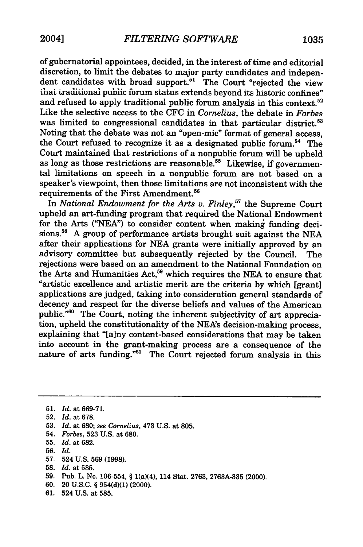of gubernatorial appointees, decided, in the interest of time and editorial discretion, to limit the debates to major party candidates and independent candidates with broad support.<sup>51</sup> The Court "rejected the view that traditional public forum status extends beyond its historic confines" and refused to apply traditional public forum analysis in this context.<sup>52</sup> Like the selective access to the **CFC** in *Cornelius,* the debate in *Forbes* was limited to congressional candidates in that particular district.<sup>53</sup> Noting that the debate was not an "open-mic" format of general access, the Court refused to recognize it as a designated public forum.<sup>54</sup> The Court maintained that restrictions of a nonpublic forum will be upheld as long as those restrictions are reasonable.<sup>55</sup> Likewise, if governmental limitations on speech in a nonpublic forum are not based on a speaker's viewpoint, then those limitations are not inconsistent with the requirements of the First Amendment.56

In *National Endowment for the Arts* v. *Finley,"* the Supreme Court upheld an art-funding program that required the National Endowment for the Arts ("NEA") to consider content when making funding decisions.<sup>58</sup> A group of performance artists brought suit against the NEA after their applications for NEA grants were initially approved by an advisory committee but subsequently rejected by the Council. The rejections were based on an amendment to the National Foundation on the Arts and Humanities Act,<sup>59</sup> which requires the NEA to ensure that "artistic excellence and artistic merit are the criteria by which [grant] applications are judged, taking into consideration general standards of decency and respect for the diverse beliefs and values of the American public."<sup>60</sup> The Court, noting the inherent subjectivity of art appreciation, upheld the constitutionality of the NEA's decision-making process, explaining that "[a]ny content-based considerations that may be taken into account in the grant-making process are a consequence of the nature of arts funding."<sup>51</sup> The Court rejected forum analysis in this

- **55.** *Id.* at **682.**
- **56.** *Id.*
- 57. 524 U.S. 569 (1998).
- **58.** *Id.* at **585.**
- **59.** Pub. L. No. **106-554,** § 1(a)(4), 114 Stat. **2763, 2763A-335** (2000).
- **60.** 20 **U.S.C.** § **954(d)(1)** (2000).
- **61.** 524 **U.S.** at **585.**

**<sup>51.</sup>** *Id.* at **669-71.**

**<sup>52.</sup>** *Id.* at **678.**

**<sup>53.</sup>** *Id.* at **680;** *see Cornelius,* 473 **U.S.** at **805.**

<sup>54.</sup> *Forbes,* **523 U.S.** at **680.**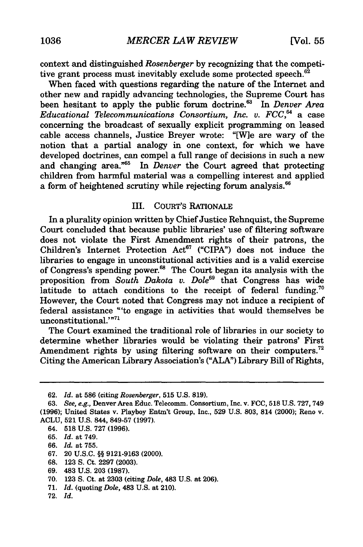context and distinguished *Rosenberger* by recognizing that the competitive grant process must inevitably exclude some protected speech.<sup>62</sup>

When faced with questions regarding the nature of the Internet and other new and rapidly advancing technologies, the Supreme Court has been hesitant to apply the public forum doctrine.<sup>63</sup> In *Denver Area Educational Telecommunications Consortium, Inc. v. FCC,'* a case concerning the broadcast of sexually explicit programming on leased cable access channels, Justice Breyer wrote: "[W]e are wary of the notion that a partial analogy in one context, for which we have developed doctrines, can compel a full range of decisions in such a new and changing area."65 In *Denver* the Court agreed that protecting children from harmful material was a compelling interest and applied a form of heightened scrutiny while rejecting forum analysis.  $66$ 

#### III. COURT'S RATIONALE

In a plurality opinion written by Chief Justice Rehnquist, the Supreme Court concluded that because public libraries' use of filtering software does not violate the First Amendment rights of their patrons, the Children's Internet Protection Act<sup>67</sup> ("CIPA") does not induce the libraries to engage in unconstitutional activities and is a valid exercise of Congress's spending power.<sup>68</sup> The Court began its analysis with the proposition from *South Dakota v. Dole<sup>69</sup>* that Congress has wide latitude to attach conditions to the receipt of federal funding.<sup>7</sup> However, the Court noted that Congress may not induce a recipient of federal assistance "'to engage in activities that would themselves be unconstitutional.'"71

The Court examined the traditional role of libraries in our society to determine whether libraries would be violating their patrons' First Amendment rights by using filtering software on their computers.<sup>72</sup> Citing the American Library Association's **("ALA")** Library Bill of Rights,

- **68. 123 S.** Ct. **2297 (2003).**
- **69.** 483 **U.S. 203 (1987).**
- **70. 123 S.** Ct. at **2303** (citing *Dole,* 483 **U.S.** at **206).**
- **71.** *Id.* (quoting *Dole,* 483 **U.S.** at 210).
- **72.** *Id.*

**<sup>62.</sup>** *Id.* at **586** (citing *Rosenberger,* **515 U.S. 819).**

**<sup>63.</sup>** *See, e.g.,* Denver Area Educ. Telecomm. Consortium, Inc. v. **FCC, 518 U.S. 727, 749 (1996);** United States v. Playboy Entm't Group, Inc., **529 U.S. 803,** 814 (2000); Reno v. **ACLU, 521 U.S.** 844, **849-57 (1997).**

<sup>64.</sup> **518 U.S. 727 (1996).**

**<sup>65.</sup>** *Id.* at 749.

**<sup>66.</sup>** *Id.* at **755.**

**<sup>67.</sup>** 20 **U.S.C.** §§ **9121-9163** (2000).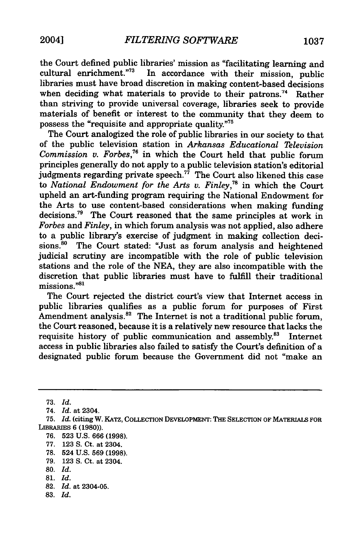the Court defined public libraries' mission as "facilitating learning and cultural enrichment."<sup>73</sup> In accordance with their mission, public libraries must have broad discretion in making content-based decisions when deciding what materials to provide to their patrons.<sup>74</sup> Rather than striving to provide universal coverage, libraries seek to provide materials of benefit or interest to the community that they deem to possess the "requisite and appropriate quality."<sup>75</sup>

The Court analogized the role of public libraries in our society to that of the public television station in *Arkansas Educational Television Commission v. Forbes,76* in which the Court held that public forum principles generally do not apply to a public television station's editorial judgments regarding private speech.<sup>77</sup> The Court also likened this case to *National Endowment for the Arts v. Finley,7"* in which the Court upheld an art-funding program requiring the National Endowment for the Arts to use content-based considerations when making funding decisions.<sup>79</sup> The Court reasoned that the same principles at work in *Forbes and Finley,* in which forum analysis was not applied, also adhere to a public library's exercise of judgment in making collection decisions.<sup>80</sup> The Court stated: "Just as forum analysis and heightened judicial scrutiny are incompatible with the role of public television stations and the role of the NEA, they are also incompatible with the discretion that public libraries must have to fulfill their traditional  $m$ issions." $81$ 

The Court rejected the district court's view that Internet access in public libraries qualifies as a public forum for purposes of First Amendment analysis.<sup>82</sup> The Internet is not a traditional public forum, the Court reasoned, because it is a relatively new resource that lacks the requisite history of public communication and assembly.<sup>83</sup> Internet access in public libraries also failed to satisfy the Court's definition of a designated public forum because the Government did not "make an

77. 123 S. Ct. at 2304.

79. 123 **S.** Ct. at 2304.

- **81.** *Id.*
- 82. *Id.* at 2304-05.
- 83. *Id.*

<sup>73.</sup> *Id.*

<sup>74.</sup> *Id.* at 2304.

<sup>75.</sup> *Id.* (citing W. KATz, COLLECTION DEVELOPMENT: THE SELECTION OF MATERIALS FOR LIBRARIES 6 (1980)).

<sup>76. 523</sup> U.S. 666 (1998).

<sup>78. 524</sup> U.S. 569 (1998).

**<sup>80.</sup>** *Id.*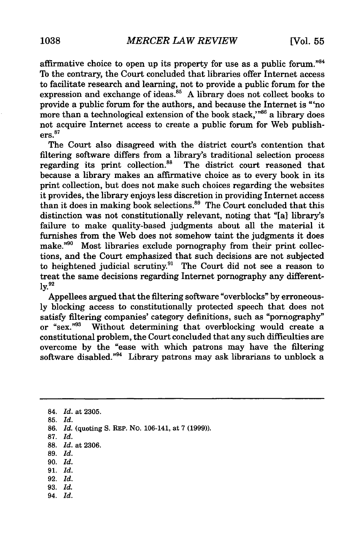affirmative choice to open up its property for use as a public forum."<sup>84</sup> To the contrary, the Court concluded that libraries offer Internet access to facilitate research and learning, not to provide a public forum for the expression and exchange of ideas.<sup>85</sup> A library does not collect books to provide a public forum for the authors, and because the Internet is "'no more than a technological extension of the book stack," $86$  a library does not acquire Internet access to create a public forum for Web publish $ers.<sup>87</sup>$ 

The Court also disagreed with the district court's contention that filtering software differs from a library's traditional selection process regarding its print collection.<sup>88</sup> The district court reasoned that because a library makes an affirmative choice as to every book in its print collection, but does not make such choices regarding the websites it provides, the library enjoys less discretion in providing Internet access than it does in making book selections.<sup>89</sup> The Court concluded that this distinction was not constitutionally relevant, noting that "[a] library's failure to make quality-based judgments about all the material it furnishes from the Web does not somehow taint the judgments it does make."90 Most libraries exclude pornography from their print collections, and the Court emphasized that such decisions are not subjected to heightened judicial scrutiny.91 The Court did not see a reason to treat the same decisions regarding Internet pornography any different**ly.92**

Appellees argued that the filtering software "overblocks" **by** erroneous**ly** blocking access to constitutionally protected speech that does not satisfy filtering companies' category definitions, such as "pornography" or "sex." $93$  Without determining that overblocking would create a constitutional problem, the Court concluded that any such difficulties are overcome **by** the "ease with which patrons may have the filtering software disabled."<sup>94</sup> Library patrons may ask librarians to unblock a

- **89.** *Id.*
- **90.** *Id.*
- 91. *Id.*
- **92.** *Id.* **93.** *Id.*
- 94. *Id.*

**<sup>84.</sup>** *Id.* at **2305.**

**<sup>85.</sup>** *Id.*

**<sup>86.</sup>** *Id.* (quoting S. **REP.** No. 106-141, at 7 (1999)).

**<sup>87.</sup>** *Id.*

<sup>88.</sup> *Id.* at **2306.**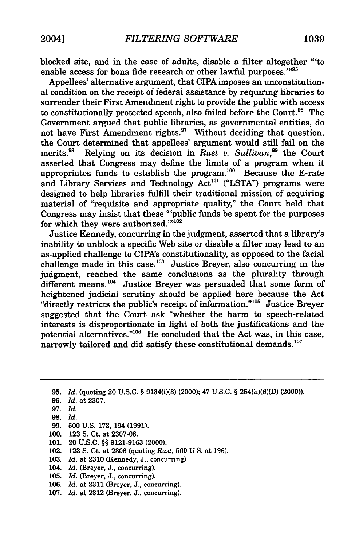blocked site, and in the case of adults, disable a filter altogether "'to enable access for bona fide research or other lawful purposes.'"95

Appellees' alternative argument, that CIPA imposes an unconstitutional condition on the receipt of federal assistance by requiring libraries to surrender their First Amendment right to provide the public with access to constitutionally protected speech, also failed before the Court.<sup>96</sup> The Government argued that public libraries, as governmental entities, do not have First Amendment rights.<sup>97</sup> Without deciding that question, the Court determined that appellees' argument would still fail on the merits.<sup>98</sup> Relying on its decision in *Rust v. Sullivan*,<sup>99</sup> the Court asserted that Congress may define the limits of a program when it appropriates funds to establish the program.'00 Because the E-rate and Library Services and Technology Act<sup>101</sup> ("LSTA") programs were designed to help libraries fulfill their traditional mission of acquiring material of "requisite and appropriate quality," the Court held that Congress may insist that these "'public funds be spent for the purposes  $\frac{1}{2}$  for which they were authorized.'" $102$ 

Justice Kennedy, concurring in the judgment, asserted that a library's inability to unblock a specific Web site or disable a filter may lead to an as-applied challenge to CIPA's constitutionality, as opposed to the facial challenge made in this case.<sup>103</sup> Justice Breyer, also concurring in the judgment, reached the same conclusions as the plurality through different means.<sup>104</sup> Justice Breyer was persuaded that some form of heightened judicial scrutiny should be applied here because the Act "directly restricts the public's receipt of information."<sup>105</sup> Justice Breyer suggested that the Court ask "whether the harm to speech-related interests is disproportionate in light of both the justifications and the potential alternatives."<sup>106</sup> He concluded that the Act was, in this case, narrowly tailored and did satisfy these constitutional demands.<sup>107</sup>

95. *Id.* (quoting 20 U.S.C. § 9134(f)(3) (2000); 47 U.S.C. § 254(h)(6)(D) (2000)).

- 96. *Id.* at 2307.
- 97. *Id.*
- **98.** *Id.*
- 99. 500 U.S. 173, 194 (1991).
- 100. 123 **S.** Ct. at 2307-08.
- 101. 20 **U.S.C.** §§ **9121-9163** (2000).
- 102. 123 **S.** Ct. at 2308 (quoting *Rust,* 500 U.S. at 196).
- 103. *Id.* at 2310 (Kennedy, J., concurring).
- 104. *Id.* (Breyer, J., concurring).
- 105. *Id.* (Breyer, J., concurring).
- 106. *Id.* at 2311 (Breyer, J., concurring).
- 107. *Id.* at 2312 (Breyer, J., concurring).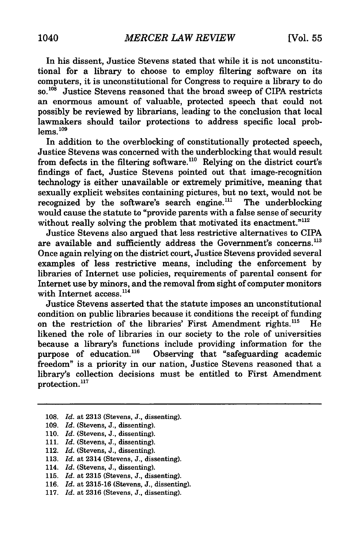In his dissent, Justice Stevens stated that while it is not unconstitutional for a library to choose to employ filtering software on its computers, it is unconstitutional for Congress to require a library to do **so.<sup>108</sup>**Justice Stevens reasoned that the broad sweep of CIPA restricts an enormous amount of valuable, protected speech that could not possibly be reviewed by librarians, leading to the conclusion that local lawmakers should tailor protections to address specific local prob $lems.<sup>109</sup>$ 

In addition to the overblocking of constitutionally protected speech, Justice Stevens was concerned with the underblocking that would result from defects in the filtering software.<sup>110</sup> Relying on the district court's findings of fact, Justice Stevens pointed out that image-recognition technology is either unavailable or extremely primitive, meaning that sexually explicit websites containing pictures, but no text, would not be recognized by the software's search engine.<sup>111</sup> The underblocking would cause the statute to "provide parents with a false sense of security without really solving the problem that motivated its enactment."<sup>112</sup>

Justice Stevens also argued that less restrictive alternatives to CIPA are available and sufficiently address the Government's concerns.<sup>113</sup> Once again relying on the district court, Justice Stevens provided several examples of less restrictive means, including the enforcement by libraries of Internet use policies, requirements of parental consent for Internet use by minors, and the removal from sight of computer monitors with Internet access.<sup>114</sup>

Justice Stevens asserted that the statute imposes an unconstitutional condition on public libraries because it conditions the receipt of funding on the restriction of the libraries' First Amendment rights.<sup>115</sup> He likened the role of libraries in our society to the role of universities because a library's functions include providing information for the purpose of education.<sup>116</sup> Observing that "safeguarding academic freedom" is a priority in our nation, Justice Stevens reasoned that a library's collection decisions must be entitled to First Amendment  $\frac{1}{100}$  protection.<sup>117</sup>

116. *Id.* at 2315-16 (Stevens, J., dissenting).

<sup>108.</sup> *Id.* at 2313 (Stevens, J., dissenting).

<sup>109.</sup> *Id.* (Stevens, J., dissenting).

<sup>110.</sup> *Id.* (Stevens, J., dissenting).

<sup>111.</sup> *Id.* (Stevens, J., dissenting).

<sup>112.</sup> *Id.* (Stevens, J., dissenting).

<sup>113.</sup> *Id.* at 2314 (Stevens, J., dissenting).

<sup>114.</sup> *Id.* (Stevens, J., dissenting).

<sup>115.</sup> *Id.* at 2315 (Stevens, J., dissenting).

<sup>117.</sup> *Id.* at 2316 (Stevens, J., dissenting).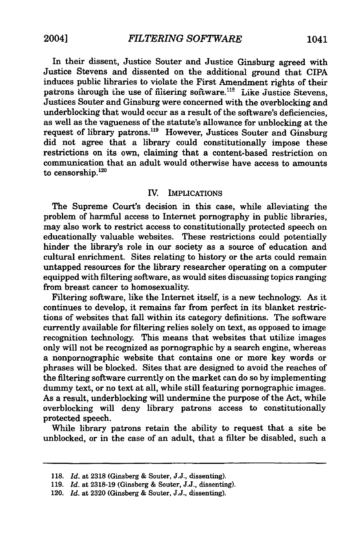In their dissent, Justice Souter and Justice Ginsburg agreed with Justice Stevens and dissented on the additional ground that CIPA induces public libraries to violate the First Amendment rights of their patrons through the use of filtering software.<sup>118</sup> Like Justice Stevens, Justices Souter and Ginsburg were concerned with the overblocking and underblocking that would occur as a result of the software's deficiencies, as well as the vagueness of the statute's allowance for unblocking at the request of library patrons.<sup>119</sup> However, Justices Souter and Ginsburg did not agree that a library could constitutionally impose these restrictions on its own, claiming that a content-based restriction on communication that an adult would otherwise have access to amounts to censorship. $120$ 

#### **IV.** IMPLICATIONS

The Supreme Court's decision in this case, while alleviating the problem of harmful access to Internet pornography in public libraries, may also work to restrict access to constitutionally protected speech on educationally valuable websites. These restrictions could potentially hinder the library's role in our society as a source of education and cultural enrichment. Sites relating to history or the arts could remain untapped resources for the library researcher operating on a computer equipped with filtering software, as would sites discussing topics ranging from breast cancer to homosexuality.

Filtering software, like the Internet itself, is a new technology. As it continues to develop, it remains far from perfect in its blanket restrictions of websites that fall within its category definitions. The software currently available for filtering relies solely on text, as opposed to image recognition technology. This means that websites that utilize images only will not be recognized as pornographic **by** a search engine, whereas a nonpornographic website that contains one or more key words or phrases will be blocked. Sites that are designed to avoid the reaches of the filtering software currently on the market can do so **by** implementing dummy text, or no text at all, while still featuring pornographic images. As a result, underblocking will undermine the purpose of the Act, while overblocking will deny library patrons access to constitutionally protected speech.

While library patrons retain the ability to request that a site be unblocked, or in the case of an adult, that a filter be disabled, such a

**<sup>118.</sup>** *Id.* at **2318** (Ginsberg **&** Souter, **J.J.,** dissenting).

**<sup>119.</sup>** *Id.* at **2318-19** (Ginsberg **&** Souter, **J.J.,** dissenting).

<sup>120.</sup> *Id.* at **2320** (Ginsberg **&** Souter, **J.J.,** dissenting).